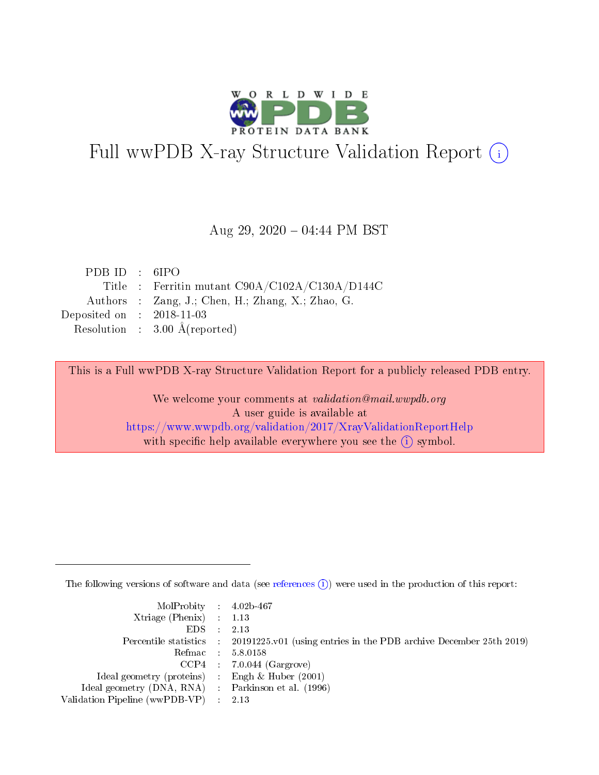

# Full wwPDB X-ray Structure Validation Report (i)

#### Aug 29,  $2020 - 04:44$  PM BST

| PDBID : 6IPO                         |                                                   |
|--------------------------------------|---------------------------------------------------|
|                                      | Title : Ferritin mutant C90A/C102A/C130A/D144C    |
|                                      | Authors : Zang, J.; Chen, H.; Zhang, X.; Zhao, G. |
| Deposited on $\therefore$ 2018-11-03 |                                                   |
|                                      | Resolution : $3.00 \text{ Å}$ (reported)          |

This is a Full wwPDB X-ray Structure Validation Report for a publicly released PDB entry.

We welcome your comments at validation@mail.wwpdb.org A user guide is available at <https://www.wwpdb.org/validation/2017/XrayValidationReportHelp> with specific help available everywhere you see the  $(i)$  symbol.

The following versions of software and data (see [references](https://www.wwpdb.org/validation/2017/XrayValidationReportHelp#references)  $(i)$ ) were used in the production of this report:

| MolProbity : $4.02b-467$                            |                                                                                            |
|-----------------------------------------------------|--------------------------------------------------------------------------------------------|
| Xtriage (Phenix) $: 1.13$                           |                                                                                            |
| $EDS$ :                                             | 2.13                                                                                       |
|                                                     | Percentile statistics : 20191225.v01 (using entries in the PDB archive December 25th 2019) |
|                                                     | Refmac : 5.8.0158                                                                          |
|                                                     | $CCP4$ 7.0.044 (Gargrove)                                                                  |
| Ideal geometry (proteins) : Engh $\&$ Huber (2001)  |                                                                                            |
| Ideal geometry (DNA, RNA) : Parkinson et al. (1996) |                                                                                            |
| Validation Pipeline (wwPDB-VP)                      | 2.13                                                                                       |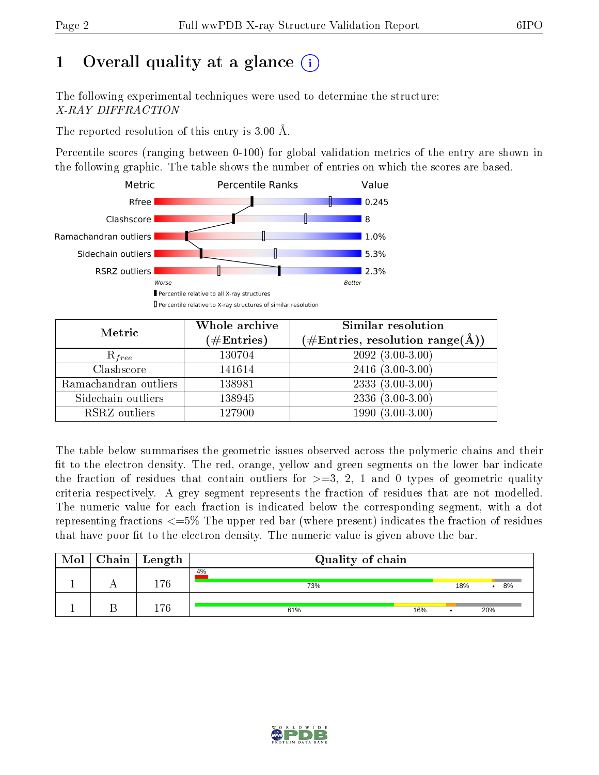# 1 [O](https://www.wwpdb.org/validation/2017/XrayValidationReportHelp#overall_quality)verall quality at a glance  $(i)$

The following experimental techniques were used to determine the structure: X-RAY DIFFRACTION

The reported resolution of this entry is 3.00 Å.

Percentile scores (ranging between 0-100) for global validation metrics of the entry are shown in the following graphic. The table shows the number of entries on which the scores are based.



| Metric                | Whole archive<br>$(\#\text{Entries})$ | Similar resolution<br>$(\#\text{Entries},\,\text{resolution}\,\,\text{range}(\textup{\AA}))$ |
|-----------------------|---------------------------------------|----------------------------------------------------------------------------------------------|
| $R_{free}$            | 130704                                | $209\overline{2}$ $(3.00-3.00)$                                                              |
| Clashscore            | 141614                                | $2416$ $(3.00-3.00)$                                                                         |
| Ramachandran outliers | 138981                                | $2333(3.00-3.00)$                                                                            |
| Sidechain outliers    | 138945                                | $2336(3.00-3.00)$                                                                            |
| RSRZ outliers         | 127900                                | $1990(3.00-3.00)$                                                                            |

The table below summarises the geometric issues observed across the polymeric chains and their fit to the electron density. The red, orange, yellow and green segments on the lower bar indicate the fraction of residues that contain outliers for  $>=3, 2, 1$  and 0 types of geometric quality criteria respectively. A grey segment represents the fraction of residues that are not modelled. The numeric value for each fraction is indicated below the corresponding segment, with a dot representing fractions  $\epsilon=5\%$  The upper red bar (where present) indicates the fraction of residues that have poor fit to the electron density. The numeric value is given above the bar.

| Mol | ${\rm Chain \mid Length}$ | Quality of chain |     |         |  |
|-----|---------------------------|------------------|-----|---------|--|
|     | 176                       | 4%<br>73%        | 18% | 8%<br>٠ |  |
|     | 176                       | 61%<br>16%       |     | 20%     |  |

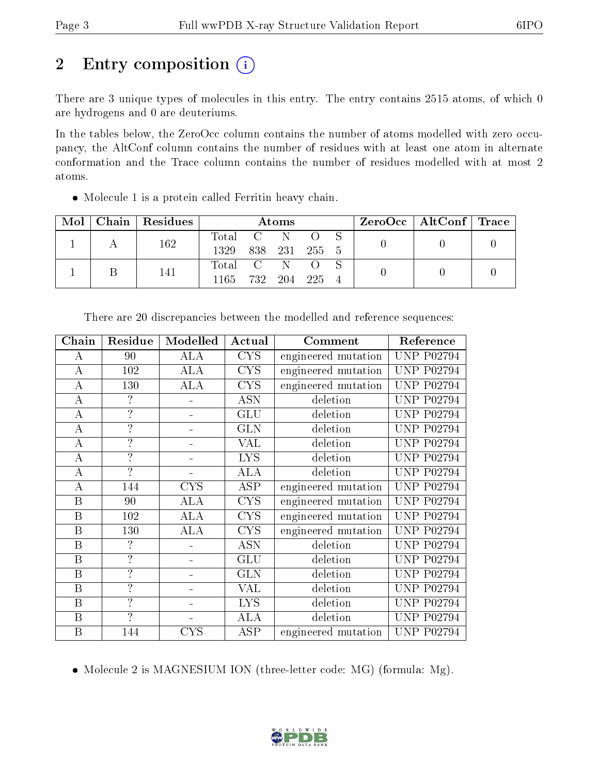# 2 Entry composition (i)

There are 3 unique types of molecules in this entry. The entry contains 2515 atoms, of which 0 are hydrogens and 0 are deuteriums.

In the tables below, the ZeroOcc column contains the number of atoms modelled with zero occupancy, the AltConf column contains the number of residues with at least one atom in alternate conformation and the Trace column contains the number of residues modelled with at most 2 atoms.

Molecule 1 is a protein called Ferritin heavy chain.

| Mol |  | Chain   Residues | Atoms     |         |      |         |  | $\text{ZeroOcc} \mid \text{AltConf} \mid \text{Trace} \mid$ |  |
|-----|--|------------------|-----------|---------|------|---------|--|-------------------------------------------------------------|--|
|     |  | 162              | Total C N |         |      |         |  |                                                             |  |
|     |  |                  | 1329      | 838 231 |      | - 255 5 |  |                                                             |  |
|     |  | 141              | Total C   |         | -N   |         |  |                                                             |  |
|     |  |                  | 1165      | 732     | -204 | -225    |  |                                                             |  |

| Chain            | Residue                  | Modelled   | Actual     | Comment             | Reference         |
|------------------|--------------------------|------------|------------|---------------------|-------------------|
| А                | 90                       | <b>ALA</b> | <b>CYS</b> | engineered mutation | <b>UNP P02794</b> |
| $\boldsymbol{A}$ | 102                      | <b>ALA</b> | <b>CYS</b> | engineered mutation | <b>UNP P02794</b> |
| $\boldsymbol{A}$ | 130                      | <b>ALA</b> | <b>CYS</b> | engineered mutation | <b>UNP P02794</b> |
| $\bf{A}$         | ?                        |            | <b>ASN</b> | deletion            | <b>UNP P02794</b> |
| $\bf{A}$         | $\overline{?}$           |            | <b>GLU</b> | deletion            | <b>UNP P02794</b> |
| $\boldsymbol{A}$ | $\overline{\mathcal{L}}$ |            | <b>GLN</b> | deletion            | <b>UNP P02794</b> |
| $\bf{A}$         | $\overline{?}$           |            | VAL        | deletion            | <b>UNP P02794</b> |
| $\bf{A}$         | $\overline{?}$           |            | <b>LYS</b> | deletion            | <b>UNP P02794</b> |
| $\bf{A}$         | $\overline{\mathcal{L}}$ |            | <b>ALA</b> | deletion            | <b>UNP P02794</b> |
| $\boldsymbol{A}$ | 144                      | <b>CYS</b> | <b>ASP</b> | engineered mutation | <b>UNP P02794</b> |
| $\boldsymbol{B}$ | 90                       | ALA        | <b>CYS</b> | engineered mutation | <b>UNP P02794</b> |
| $\boldsymbol{B}$ | 102                      | <b>ALA</b> | <b>CYS</b> | engineered mutation | <b>UNP P02794</b> |
| $\boldsymbol{B}$ | 130                      | ALA        | <b>CYS</b> | engineered mutation | <b>UNP P02794</b> |
| $\, {\bf B}$     | $\overline{?}$           |            | <b>ASN</b> | deletion            | <b>UNP P02794</b> |
| $\boldsymbol{B}$ | $\overline{?}$           |            | <b>GLU</b> | deletion            | <b>UNP P02794</b> |
| B                | $\overline{\mathcal{L}}$ |            | <b>GLN</b> | deletion            | <b>UNP P02794</b> |
| B                | $\overline{?}$           |            | <b>VAL</b> | deletion            | <b>UNP P02794</b> |
| B                | $\overline{?}$           |            | <b>LYS</b> | deletion            | <b>UNP P02794</b> |
| $\boldsymbol{B}$ | ?                        |            | <b>ALA</b> | deletion            | <b>UNP P02794</b> |
| B                | 144                      | <b>CYS</b> | ASP        | engineered mutation | <b>UNP P02794</b> |

There are 20 discrepancies between the modelled and reference sequences:

• Molecule 2 is MAGNESIUM ION (three-letter code: MG) (formula: Mg).

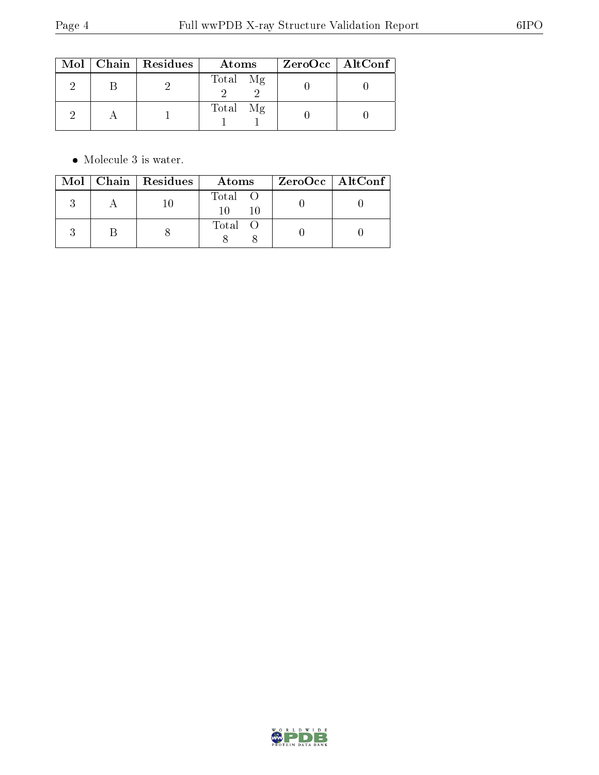|  | $Mol$   Chain   Residues | Atoms    | $ZeroOcc \   \ AltConf \  $ |
|--|--------------------------|----------|-----------------------------|
|  |                          | Total Mg |                             |
|  |                          | Total Mg |                             |

 $\bullet\,$  Molecule 3 is water.

|  | $Mol$   Chain   Residues | Atoms   | $ZeroOcc \   \ AltConf \  $ |
|--|--------------------------|---------|-----------------------------|
|  |                          | Total O |                             |
|  |                          | Total O |                             |

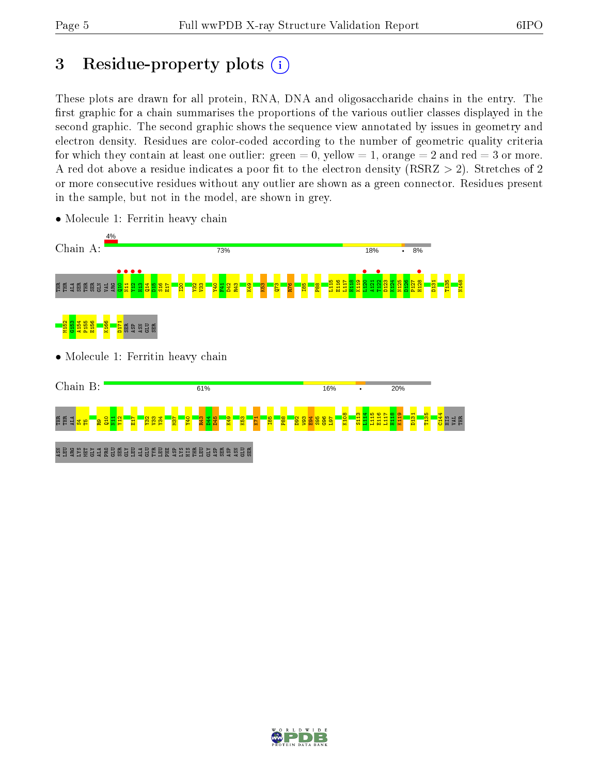# 3 Residue-property plots  $(i)$

These plots are drawn for all protein, RNA, DNA and oligosaccharide chains in the entry. The first graphic for a chain summarises the proportions of the various outlier classes displayed in the second graphic. The second graphic shows the sequence view annotated by issues in geometry and electron density. Residues are color-coded according to the number of geometric quality criteria for which they contain at least one outlier: green  $= 0$ , yellow  $= 1$ , orange  $= 2$  and red  $= 3$  or more. A red dot above a residue indicates a poor fit to the electron density ( $RSRZ > 2$ ). Stretches of 2 or more consecutive residues without any outlier are shown as a green connector. Residues present in the sample, but not in the model, are shown in grey.



• Molecule 1: Ferritin heavy chain

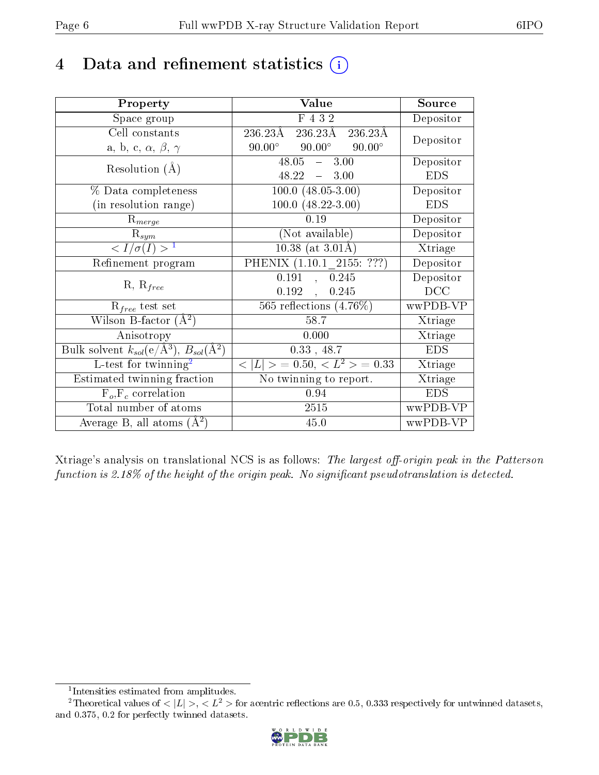# 4 Data and refinement statistics  $(i)$

| Property                                                                | Value                                               | Source     |
|-------------------------------------------------------------------------|-----------------------------------------------------|------------|
| Space group                                                             | F 4 3 2                                             | Depositor  |
| Cell constants                                                          | 236.23Å<br>$236.23\text{\AA}$<br>$236.23\text{\AA}$ |            |
| a, b, c, $\alpha$ , $\beta$ , $\gamma$                                  | $90.00^\circ$<br>$90.00^\circ$<br>$90.00^\circ$     | Depositor  |
| Resolution $(A)$                                                        | $48.05 - 3.00$                                      | Depositor  |
|                                                                         | $48.22 - 3.00$                                      | <b>EDS</b> |
| % Data completeness                                                     | $100.0 (48.05 - 3.00)$                              | Depositor  |
| (in resolution range)                                                   | $100.0 (48.22 - 3.00)$                              | <b>EDS</b> |
| $R_{merge}$                                                             | 0.19                                                | Depositor  |
| $\mathrm{R}_{sym}$                                                      | (Not available)                                     | Depositor  |
| $\langle I/\sigma(I) \rangle^{-1}$                                      | $10.38$ (at 3.01Å)                                  | Xtriage    |
| Refinement program                                                      | PHENIX (1.10.1 2155: ???)                           | Depositor  |
|                                                                         | 0.191<br>, 0.245                                    | Depositor  |
| $R, R_{free}$                                                           | 0.192,<br>0.245                                     | DCC        |
| $\mathcal{R}_{free}$ test set                                           | 565 reflections $(4.76\%)$                          | wwPDB-VP   |
| Wilson B-factor $(A^2)$                                                 | 58.7                                                | Xtriage    |
| Anisotropy                                                              | 0.000                                               | Xtriage    |
| Bulk solvent $k_{sol}(\mathrm{e}/\mathrm{A}^3),\,B_{sol}(\mathrm{A}^2)$ | $0.33$ , 48.7                                       | <b>EDS</b> |
| L-test for twinning <sup>2</sup>                                        | $< L >$ = 0.50, $< L2$ > = 0.33                     | Xtriage    |
| Estimated twinning fraction                                             | No twinning to report.                              | Xtriage    |
| $F_o, F_c$ correlation                                                  | 0.94                                                | <b>EDS</b> |
| Total number of atoms                                                   | 2515                                                | wwPDB-VP   |
| Average B, all atoms $(A^2)$                                            | 45.0                                                | wwPDB-VP   |

Xtriage's analysis on translational NCS is as follows: The largest off-origin peak in the Patterson function is  $2.18\%$  of the height of the origin peak. No significant pseudotranslation is detected.

<sup>&</sup>lt;sup>2</sup>Theoretical values of  $\langle |L| \rangle$ ,  $\langle L^2 \rangle$  for acentric reflections are 0.5, 0.333 respectively for untwinned datasets, and 0.375, 0.2 for perfectly twinned datasets.



<span id="page-5-1"></span><span id="page-5-0"></span><sup>1</sup> Intensities estimated from amplitudes.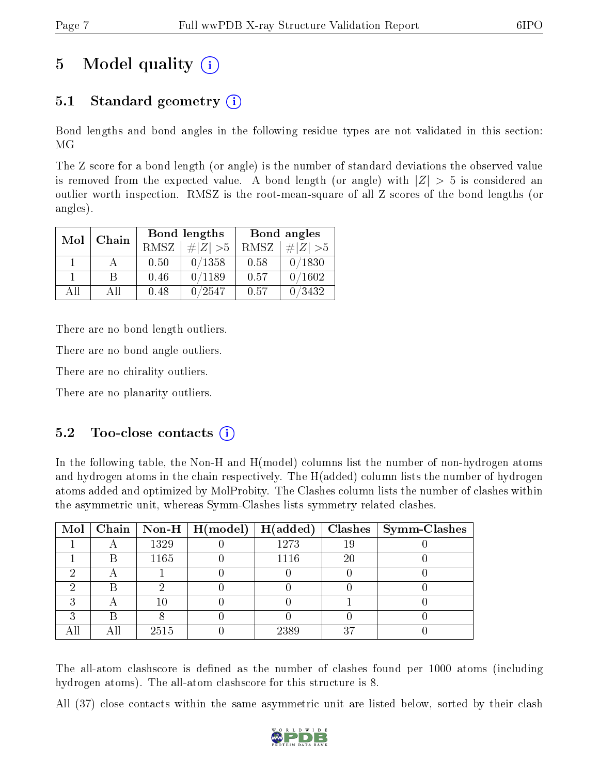# 5 Model quality  $(i)$

### 5.1 Standard geometry (i)

Bond lengths and bond angles in the following residue types are not validated in this section: MG

The Z score for a bond length (or angle) is the number of standard deviations the observed value is removed from the expected value. A bond length (or angle) with  $|Z| > 5$  is considered an outlier worth inspection. RMSZ is the root-mean-square of all Z scores of the bond lengths (or angles).

| Mol | Chain |      | Bond lengths | Bond angles |             |  |
|-----|-------|------|--------------|-------------|-------------|--|
|     |       | RMSZ | $\# Z  > 5$  | RMSZ        | $\# Z  > 5$ |  |
|     |       | 0.50 | 0/1358       | 0.58        | 0/1830      |  |
|     |       | 0.46 | 0/1189       | 0.57        | 0/1602      |  |
| ΑĦ  | A 11  | 0.48 | 0/2547       | 0.57        | /3432       |  |

There are no bond length outliers.

There are no bond angle outliers.

There are no chirality outliers.

There are no planarity outliers.

### $5.2$  Too-close contacts  $(i)$

In the following table, the Non-H and H(model) columns list the number of non-hydrogen atoms and hydrogen atoms in the chain respectively. The H(added) column lists the number of hydrogen atoms added and optimized by MolProbity. The Clashes column lists the number of clashes within the asymmetric unit, whereas Symm-Clashes lists symmetry related clashes.

|  |      |      |    | Mol   Chain   Non-H   H(model)   H(added)   Clashes   Symm-Clashes |
|--|------|------|----|--------------------------------------------------------------------|
|  | 1329 | 1273 | 19 |                                                                    |
|  | 1165 | 1116 | 20 |                                                                    |
|  |      |      |    |                                                                    |
|  |      |      |    |                                                                    |
|  |      |      |    |                                                                    |
|  |      |      |    |                                                                    |
|  | 2515 | 2389 | 37 |                                                                    |

The all-atom clashscore is defined as the number of clashes found per 1000 atoms (including hydrogen atoms). The all-atom clashscore for this structure is 8.

All (37) close contacts within the same asymmetric unit are listed below, sorted by their clash

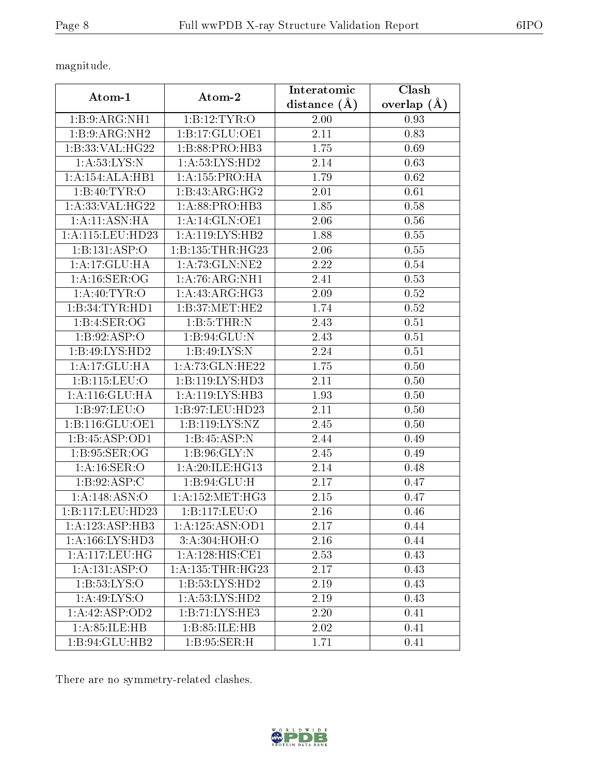magnitude.

| Atom-1                      | Atom-2                      | Interatomic    | Clash           |
|-----------------------------|-----------------------------|----------------|-----------------|
|                             |                             | distance $(A)$ | overlap $(\AA)$ |
| 1:B:9:ARG:NH1               | 1:B:12:TYR:O                | 2.00           | 0.93            |
| 1:B:9:ARG:NH2               | 1:B:17:GLU:OE1              | 2.11           | 0.83            |
| 1:B:33:VAL:HG22             | 1:B:88:PRO:HB3              | 1.75           | 0.69            |
| 1: A:53: LYS:N              | 1:A:53:LYS:HD2              | 2.14           | 0.63            |
| 1:A:154:ALA:HB1             | 1: A: 155: PRO: HA          | 1.79           | 0.62            |
| 1:B:40:TYR:O                | 1:B:43:ARG:HG2              | 2.01           | 0.61            |
| 1: A:33: VAL: HG22          | 1:A:88:PRO:HB3              | 1.85           | 0.58            |
| 1:A:11:ASN:HA               | 1:A:14:GLN:OE1              | 2.06           | 0.56            |
| 1: A: 115: LEU: HD23        | 1: A: 119: LYS: HB2         | 1.88           | 0.55            |
| 1:B:131:ASP:O               | 1:B:135:THR:HG23            | 2.06           | 0.55            |
| 1:A:17:GLU:HA               | 1: A:73: GLN:NE2            | 2.22           | 0.54            |
| 1:A:16:SER:OG               | 1: A:76: ARG: NH1           | 2.41           | 0.53            |
| 1: A:40: TYR:O              | $1:A:\overline{43:ARG:HG3}$ | 2.09           | 0.52            |
| 1:B:34:TYR:HD1              | 1:B:37:MET:HE2              | 1.74           | 0.52            |
| 1:B:4:SER:OG                | 1: B: 5: THEN: N            | 2.43           | 0.51            |
| 1: B:92: ASP:O              | 1:B:94:GLU:N                | 2.43           | 0.51            |
| 1:B:49:LYS:HD2              | 1:B:49:LYS:N                | 2.24           | 0.51            |
| 1:A:17:GLU:HA               | 1: A:73: GLN: HE22          | 1.75           | 0.50            |
| 1:B:115:LEU:O               | 1:B:119:LYS:HD3             | 2.11           | 0.50            |
| 1: A:116: GLU: HA           | 1:A:119:LYS:HB3             | 1.93           | 0.50            |
| 1: B:97: LEU:O              | 1:B:97:LEU:HD23             | 2.11           | 0.50            |
| 1:B:116:GLU:OE1             | 1: B: 119: LYS: NZ          | 2.45           | 0.50            |
| 1:B:45:ASP:OD1              | 1:B:45:ASP:N                | 2.44           | 0.49            |
| 1:B:95:SER:OG               | 1: B:96: GLY:N              | 2.45           | 0.49            |
| 1: A:16: SER:O              | 1:A:20:ILE:HG13             | 2.14           | 0.48            |
| 1:B:92:ASP:C                | 1: B:94: GLU: H             | 2.17           | 0.47            |
| 1: A: 148: ASN: O           | 1: A: 152: MET:HG3          | 2.15           | 0.47            |
| 1:B:117:LEU:HD23            | 1:B:117:LEU:O               | 2.16           | 0.46            |
| 1:A:123:ASP:HB3             | 1: A: 125: ASN: OD1         | 2.17           | 0.44            |
| 1: A: 166: LYS: HD3         | 3:A:304:HOH:O               | 2.16           | 0.44            |
| 1: A: 117: LEU: HG          | 1:A:128:HIS:CE1             | 2.53           | 0.43            |
| $1:A:\overline{131:ASP:O}$  | 1: A: 135: THR: HG23        | 2.17           | 0.43            |
| 1:B:53:LYS:O                | 1:B:53:LYS:HD2              | 2.19           | $0.43\,$        |
| 1: A:49: LYS:O              | 1:A:53:LYS:HD2              | 2.19           | 0.43            |
| 1:A:42:ASP:OD2              | 1:B:71:LYS:HE3              | 2.20           | 0.41            |
| 1: A:85: ILE: HB            | 1:B:85:ILE:HB               | 2.02           | 0.41            |
| $1:B:94:\overline{GLU:HB2}$ | 1: B:95: SER:H              | 1.71           | 0.41            |

There are no symmetry-related clashes.

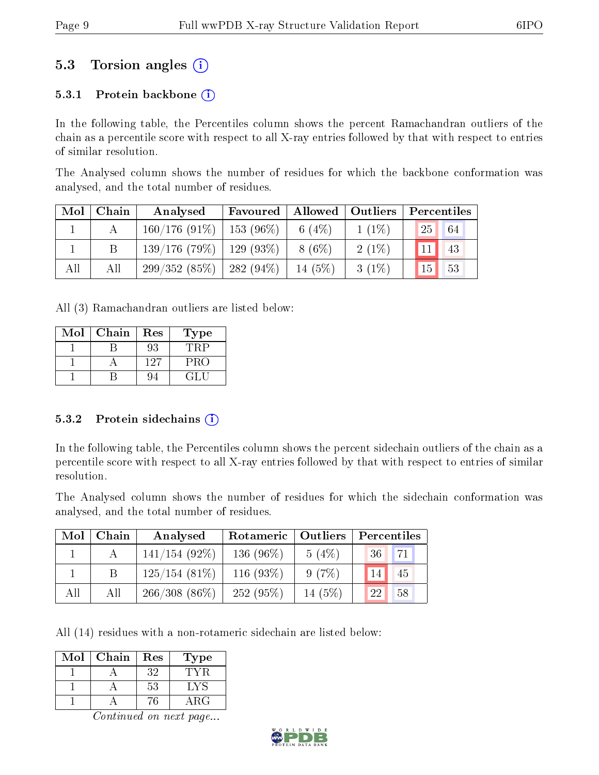### 5.3 Torsion angles (i)

#### 5.3.1 Protein backbone  $(i)$

In the following table, the Percentiles column shows the percent Ramachandran outliers of the chain as a percentile score with respect to all X-ray entries followed by that with respect to entries of similar resolution.

The Analysed column shows the number of residues for which the backbone conformation was analysed, and the total number of residues.

| Mol | Chain | Analysed                      | Favoured | Allowed   Outliers |          | Percentiles |    |
|-----|-------|-------------------------------|----------|--------------------|----------|-------------|----|
|     |       | $160/176$ (91\%)   153 (96\%) |          | 6 $(4%)$           | $1(1\%)$ | 25          | 64 |
|     |       | $139/176$ (79\%)   129 (93\%) |          | 8 (6\%)            | $2(1\%)$ | 11          | 43 |
| All | All   | $299/352(85\%)$   282 (94\%)  |          | $14(5\%)$          | $3(1\%)$ | 15          | 53 |

All (3) Ramachandran outliers are listed below:

| Mol | Chain | Res | Type  |
|-----|-------|-----|-------|
|     |       | 93  |       |
|     |       | 127 | PRO   |
|     |       |     | 7 L L |

#### 5.3.2 Protein sidechains  $(i)$

In the following table, the Percentiles column shows the percent sidechain outliers of the chain as a percentile score with respect to all X-ray entries followed by that with respect to entries of similar resolution.

The Analysed column shows the number of residues for which the sidechain conformation was analysed, and the total number of residues.

| Mol | ${\bf Chain}$ | Analysed        | Rotameric    | Outliers  | Percentiles |
|-----|---------------|-----------------|--------------|-----------|-------------|
|     |               | $141/154(92\%)$ | 136 $(96\%)$ | $5(4\%)$  | 71<br>36    |
|     |               | $125/154(81\%)$ | 116 $(93\%)$ | 9(7%)     | 45<br>14    |
| All | All           | $266/308(86\%)$ | 252(95%)     | 14 $(5%)$ | 58<br>22    |

All (14) residues with a non-rotameric sidechain are listed below:

| Mol | Chain | Res | Fype        |
|-----|-------|-----|-------------|
|     |       | 32  |             |
|     |       | 53  | LYS         |
|     |       | 'n  | ${\rm ARG}$ |

Continued on next page...

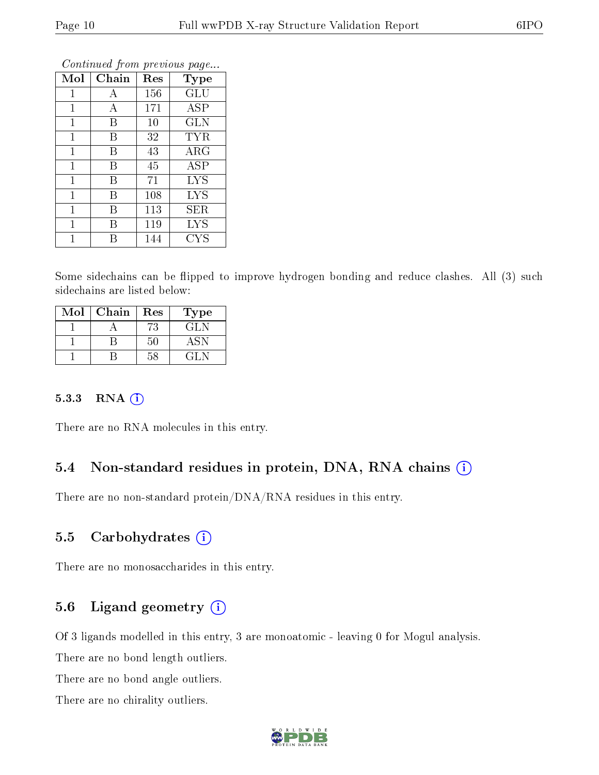| Mol          | Chain | Res | Type              |
|--------------|-------|-----|-------------------|
| 1            | А     | 156 | <b>GLU</b>        |
| 1            | А     | 171 | <b>ASP</b>        |
| $\mathbf 1$  | B     | 10  | <b>GLN</b>        |
| $\mathbf{1}$ | B     | 32  | <b>TYR</b>        |
| $\mathbf{1}$ | B     | 43  | ARG               |
| $\mathbf{1}$ | B     | 45  | <b>ASP</b>        |
| $\mathbf{1}$ | В     | 71  | <b>LYS</b>        |
| $\mathbf{1}$ | В     | 108 | <b>LYS</b>        |
| $\mathbf{1}$ | В     | 113 | SER               |
| 1            | В     | 119 | <b>LYS</b>        |
|              | В     | 144 | $_{\mathrm{CYS}}$ |

Continued from previous page...

Some sidechains can be flipped to improve hydrogen bonding and reduce clashes. All (3) such sidechains are listed below:

| Mol | Chain | Res | Type   |
|-----|-------|-----|--------|
|     |       | 73  | GL N   |
|     |       | 50  | ASN    |
|     |       |     | 12 L.N |

#### 5.3.3 RNA (i)

There are no RNA molecules in this entry.

#### 5.4 Non-standard residues in protein, DNA, RNA chains (i)

There are no non-standard protein/DNA/RNA residues in this entry.

#### 5.5 Carbohydrates  $(i)$

There are no monosaccharides in this entry.

### 5.6 Ligand geometry  $(i)$

Of 3 ligands modelled in this entry, 3 are monoatomic - leaving 0 for Mogul analysis.

There are no bond length outliers.

There are no bond angle outliers.

There are no chirality outliers.

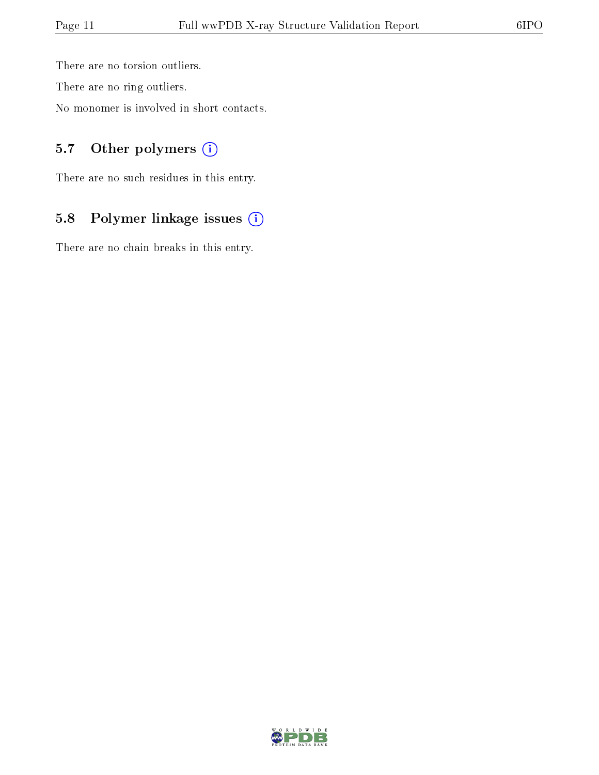There are no torsion outliers.

There are no ring outliers.

No monomer is involved in short contacts.

### 5.7 [O](https://www.wwpdb.org/validation/2017/XrayValidationReportHelp#nonstandard_residues_and_ligands)ther polymers (i)

There are no such residues in this entry.

### 5.8 Polymer linkage issues (i)

There are no chain breaks in this entry.

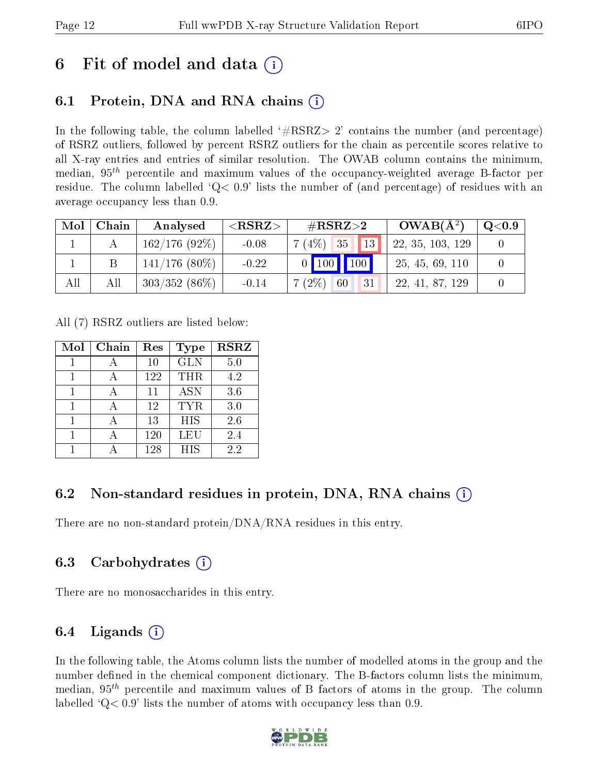# 6 Fit of model and data  $\left( \cdot \right)$

### 6.1 Protein, DNA and RNA chains (i)

In the following table, the column labelled  $#RSRZ>2'$  contains the number (and percentage) of RSRZ outliers, followed by percent RSRZ outliers for the chain as percentile scores relative to all X-ray entries and entries of similar resolution. The OWAB column contains the minimum, median,  $95<sup>th</sup>$  percentile and maximum values of the occupancy-weighted average B-factor per residue. The column labelled ' $Q< 0.9$ ' lists the number of (and percentage) of residues with an average occupancy less than 0.9.

| Mol | Chain | Analysed        | ${ <\hspace{-1.5pt}{\mathrm{RSRZ}} \hspace{-1.5pt}>}$ | $\#\text{RSRZ}{>}2$                   | $OWAB(A^2)$      | $\rm Q\textcolor{black}{<}0.9$ |
|-----|-------|-----------------|-------------------------------------------------------|---------------------------------------|------------------|--------------------------------|
|     |       | 162/176(92%)    | $-0.08$                                               | 13<br>7(4%)<br>35                     | 22, 35, 103, 129 |                                |
|     |       | $141/176$ (80%) | $-0.22$                                               | $0$   100 <br>$\sqrt{100}$            | 25, 45, 69, 110  |                                |
| All | All   | $303/352(86\%)$ | $-0.14$                                               | $(2\%)$<br>7 <sup>1</sup><br>60<br>31 | 22, 41, 87, 129  |                                |

All (7) RSRZ outliers are listed below:

| Mol | Chain | Res | Type       | <b>RSRZ</b> |
|-----|-------|-----|------------|-------------|
|     |       | 10  | <b>GLN</b> | 5.0         |
|     |       | 122 | THR        | 4.2         |
|     |       | 11  | <b>ASN</b> | 3.6         |
| 1   |       | 12  | <b>TYR</b> | 3.0         |
|     |       | 13  | <b>HIS</b> | 2.6         |
|     |       | 120 | LEU        | 2.4         |
|     |       | 128 | <b>HIS</b> | 2.2         |

### 6.2 Non-standard residues in protein, DNA, RNA chains (i)

There are no non-standard protein/DNA/RNA residues in this entry.

### 6.3 Carbohydrates (i)

There are no monosaccharides in this entry.

### 6.4 Ligands  $(i)$

In the following table, the Atoms column lists the number of modelled atoms in the group and the number defined in the chemical component dictionary. The B-factors column lists the minimum, median,  $95<sup>th</sup>$  percentile and maximum values of B factors of atoms in the group. The column labelled  $Q< 0.9$ ' lists the number of atoms with occupancy less than 0.9.